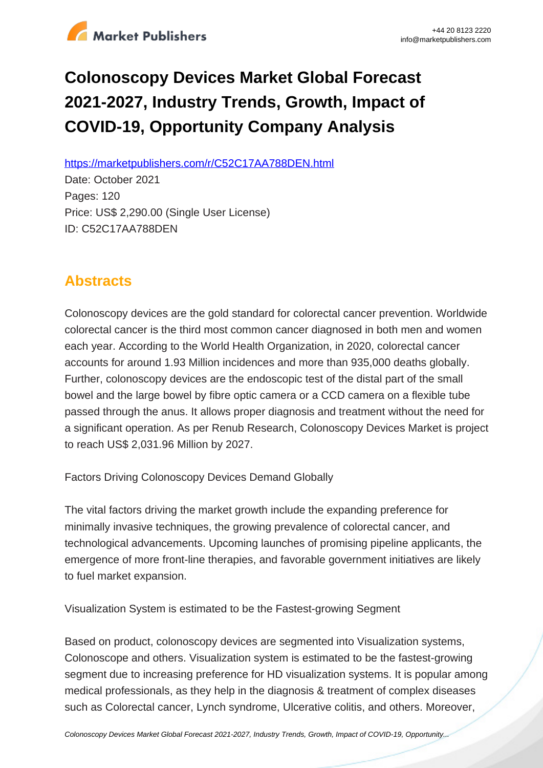

# **Colonoscopy Devices Market Global Forecast 2021-2027, Industry Trends, Growth, Impact of COVID-19, Opportunity Company Analysis**

https://marketpublishers.com/r/C52C17AA788DEN.html

Date: October 2021 Pages: 120 Price: US\$ 2,290.00 (Single User License) ID: C52C17AA788DEN

## **Abstracts**

Colonoscopy devices are the gold standard for colorectal cancer prevention. Worldwide colorectal cancer is the third most common cancer diagnosed in both men and women each year. According to the World Health Organization, in 2020, colorectal cancer accounts for around 1.93 Million incidences and more than 935,000 deaths globally. Further, colonoscopy devices are the endoscopic test of the distal part of the small bowel and the large bowel by fibre optic camera or a CCD camera on a flexible tube passed through the anus. It allows proper diagnosis and treatment without the need for a significant operation. As per Renub Research, Colonoscopy Devices Market is project to reach US\$ 2,031.96 Million by 2027.

Factors Driving Colonoscopy Devices Demand Globally

The vital factors driving the market growth include the expanding preference for minimally invasive techniques, the growing prevalence of colorectal cancer, and technological advancements. Upcoming launches of promising pipeline applicants, the emergence of more front-line therapies, and favorable government initiatives are likely to fuel market expansion.

Visualization System is estimated to be the Fastest-growing Segment

Based on product, colonoscopy devices are segmented into Visualization systems, Colonoscope and others. Visualization system is estimated to be the fastest-growing segment due to increasing preference for HD visualization systems. It is popular among medical professionals, as they help in the diagnosis & treatment of complex diseases such as Colorectal cancer, Lynch syndrome, Ulcerative colitis, and others. Moreover,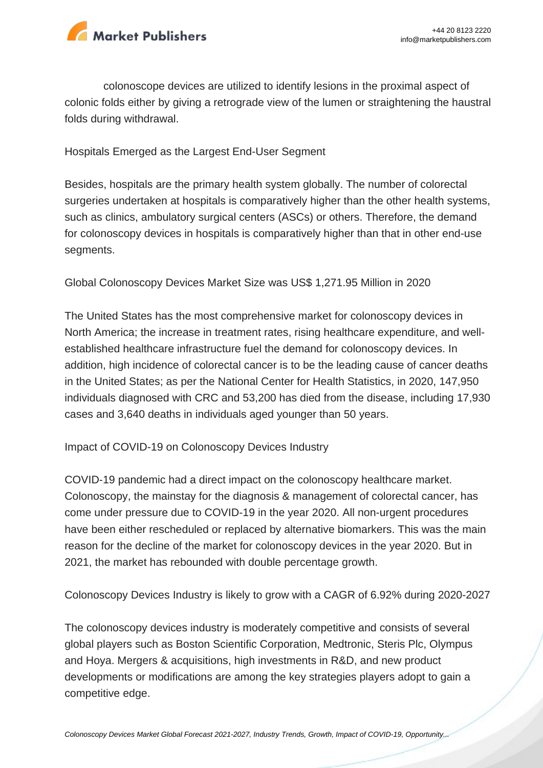

colonoscope devices are utilized to identify lesions in the proximal aspect of colonic folds either by giving a retrograde view of the lumen or straightening the haustral folds during withdrawal.

Hospitals Emerged as the Largest End-User Segment

Besides, hospitals are the primary health system globally. The number of colorectal surgeries undertaken at hospitals is comparatively higher than the other health systems, such as clinics, ambulatory surgical centers (ASCs) or others. Therefore, the demand for colonoscopy devices in hospitals is comparatively higher than that in other end-use segments.

Global Colonoscopy Devices Market Size was US\$ 1,271.95 Million in 2020

The United States has the most comprehensive market for colonoscopy devices in North America; the increase in treatment rates, rising healthcare expenditure, and wellestablished healthcare infrastructure fuel the demand for colonoscopy devices. In addition, high incidence of colorectal cancer is to be the leading cause of cancer deaths in the United States; as per the National Center for Health Statistics, in 2020, 147,950 individuals diagnosed with CRC and 53,200 has died from the disease, including 17,930 cases and 3,640 deaths in individuals aged younger than 50 years.

Impact of COVID-19 on Colonoscopy Devices Industry

COVID-19 pandemic had a direct impact on the colonoscopy healthcare market. Colonoscopy, the mainstay for the diagnosis & management of colorectal cancer, has come under pressure due to COVID-19 in the year 2020. All non-urgent procedures have been either rescheduled or replaced by alternative biomarkers. This was the main reason for the decline of the market for colonoscopy devices in the year 2020. But in 2021, the market has rebounded with double percentage growth.

Colonoscopy Devices Industry is likely to grow with a CAGR of 6.92% during 2020-2027

The colonoscopy devices industry is moderately competitive and consists of several global players such as Boston Scientific Corporation, Medtronic, Steris Plc, Olympus and Hoya. Mergers & acquisitions, high investments in R&D, and new product developments or modifications are among the key strategies players adopt to gain a competitive edge.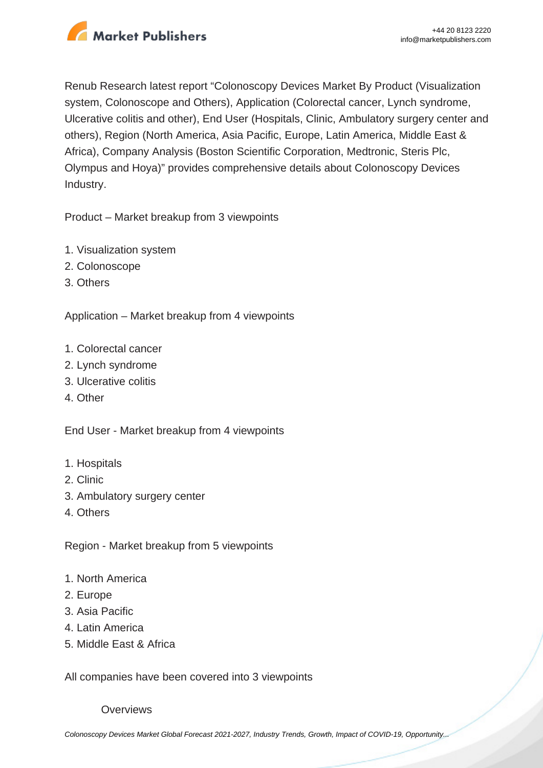

Renub Research latest report "Colonoscopy Devices Market By Product (Visualization system, Colonoscope and Others), Application (Colorectal cancer, Lynch syndrome, Ulcerative colitis and other), End User (Hospitals, Clinic, Ambulatory surgery center and others), Region (North America, Asia Pacific, Europe, Latin America, Middle East & Africa), Company Analysis (Boston Scientific Corporation, Medtronic, Steris Plc, Olympus and Hoya)" provides comprehensive details about Colonoscopy Devices Industry.

Product – Market breakup from 3 viewpoints

- 1. Visualization system
- 2. Colonoscope
- 3. Others

Application – Market breakup from 4 viewpoints

- 1. Colorectal cancer
- 2. Lynch syndrome
- 3. Ulcerative colitis
- 4. Other

End User - Market breakup from 4 viewpoints

- 1. Hospitals
- 2. Clinic
- 3. Ambulatory surgery center
- 4. Others

Region - Market breakup from 5 viewpoints

- 1. North America
- 2. Europe
- 3. Asia Pacific
- 4. Latin America
- 5. Middle East & Africa

All companies have been covered into 3 viewpoints

**Overviews**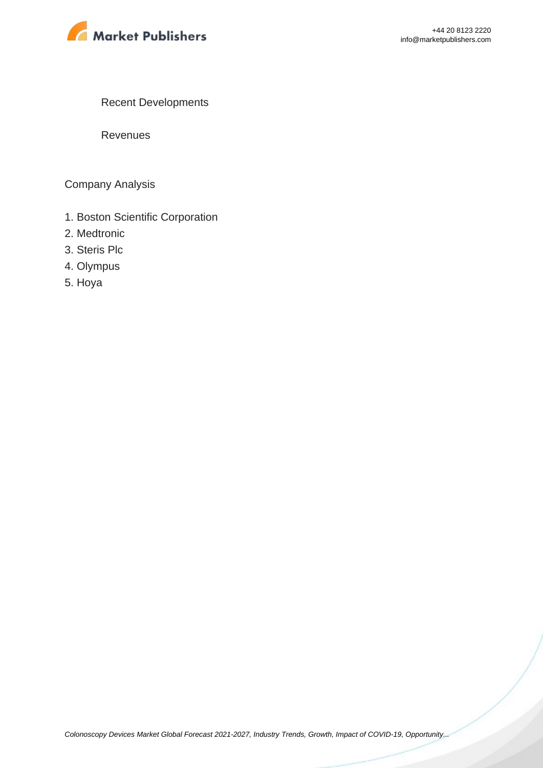

Recent Developments

Revenues

Company Analysis

- 1. Boston Scientific Corporation
- 2. Medtronic
- 3. Steris Plc
- 4. Olympus
- 5. Hoya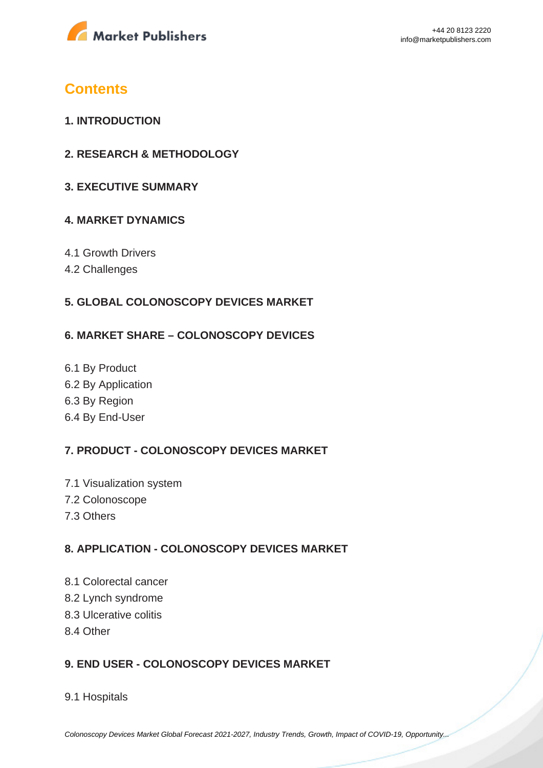

## **Contents**

- **1. INTRODUCTION**
- **2. RESEARCH & METHODOLOGY**
- **3. EXECUTIVE SUMMARY**

## **4. MARKET DYNAMICS**

- 4.1 Growth Drivers
- 4.2 Challenges

## **5. GLOBAL COLONOSCOPY DEVICES MARKET**

### **6. MARKET SHARE – COLONOSCOPY DEVICES**

6.1 By Product 6.2 By Application 6.3 By Region 6.4 By End-User

## **7. PRODUCT - COLONOSCOPY DEVICES MARKET**

- 7.1 Visualization system 7.2 Colonoscope 7.3 Others
- 

## **8. APPLICATION - COLONOSCOPY DEVICES MARKET**

- 8.1 Colorectal cancer
- 8.2 Lynch syndrome
- 8.3 Ulcerative colitis
- 8.4 Other

## **9. END USER - COLONOSCOPY DEVICES MARKET**

#### 9.1 Hospitals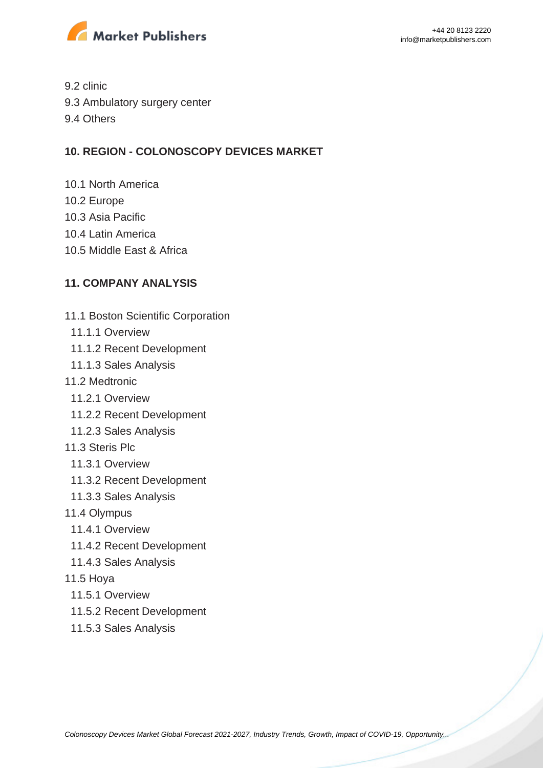

9.2 clinic

- 9.3 Ambulatory surgery center
- 9.4 Others

### **10. REGION - COLONOSCOPY DEVICES MARKET**

- 10.1 North America
- 10.2 Europe
- 10.3 Asia Pacific
- 10.4 Latin America
- 10.5 Middle East & Africa

## **11. COMPANY ANALYSIS**

- 11.1 Boston Scientific Corporation
- 11.1.1 Overview
- 11.1.2 Recent Development
- 11.1.3 Sales Analysis
- 11.2 Medtronic
	- 11.2.1 Overview
	- 11.2.2 Recent Development
- 11.2.3 Sales Analysis
- 11.3 Steris Plc
	- 11.3.1 Overview
	- 11.3.2 Recent Development
- 11.3.3 Sales Analysis
- 11.4 Olympus
	- 11.4.1 Overview
	- 11.4.2 Recent Development
- 11.4.3 Sales Analysis
- 11.5 Hoya
	- 11.5.1 Overview
	- 11.5.2 Recent Development
	- 11.5.3 Sales Analysis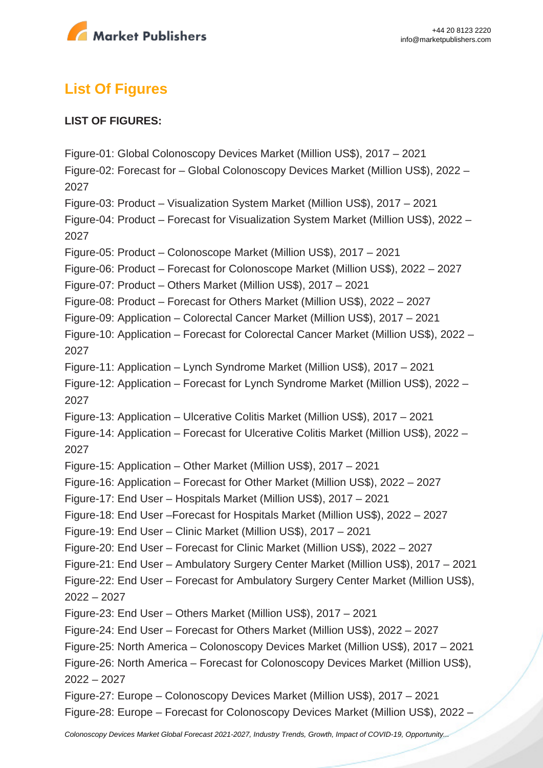

## **List Of Figures**

## **LIST OF FIGURES:**

Figure-01: Global Colonoscopy Devices Market (Million US\$), 2017 – 2021 Figure-02: Forecast for – Global Colonoscopy Devices Market (Million US\$), 2022 – 2027 Figure-03: Product – Visualization System Market (Million US\$), 2017 – 2021 Figure-04: Product – Forecast for Visualization System Market (Million US\$), 2022 – 2027 Figure-05: Product – Colonoscope Market (Million US\$), 2017 – 2021 Figure-06: Product – Forecast for Colonoscope Market (Million US\$), 2022 – 2027 Figure-07: Product – Others Market (Million US\$), 2017 – 2021 Figure-08: Product – Forecast for Others Market (Million US\$), 2022 – 2027 Figure-09: Application – Colorectal Cancer Market (Million US\$), 2017 – 2021 Figure-10: Application – Forecast for Colorectal Cancer Market (Million US\$), 2022 – 2027 Figure-11: Application – Lynch Syndrome Market (Million US\$), 2017 – 2021 Figure-12: Application – Forecast for Lynch Syndrome Market (Million US\$), 2022 – 2027 Figure-13: Application – Ulcerative Colitis Market (Million US\$), 2017 – 2021 Figure-14: Application – Forecast for Ulcerative Colitis Market (Million US\$), 2022 – 2027 Figure-15: Application – Other Market (Million US\$), 2017 – 2021 Figure-16: Application – Forecast for Other Market (Million US\$), 2022 – 2027 Figure-17: End User – Hospitals Market (Million US\$), 2017 – 2021 Figure-18: End User –Forecast for Hospitals Market (Million US\$), 2022 – 2027 Figure-19: End User – Clinic Market (Million US\$), 2017 – 2021 Figure-20: End User – Forecast for Clinic Market (Million US\$), 2022 – 2027 Figure-21: End User – Ambulatory Surgery Center Market (Million US\$), 2017 – 2021 Figure-22: End User – Forecast for Ambulatory Surgery Center Market (Million US\$), 2022 – 2027 Figure-23: End User – Others Market (Million US\$), 2017 – 2021 Figure-24: End User – Forecast for Others Market (Million US\$), 2022 – 2027 Figure-25: North America – Colonoscopy Devices Market (Million US\$), 2017 – 2021 Figure-26: North America – Forecast for Colonoscopy Devices Market (Million US\$), 2022 – 2027 Figure-27: Europe – Colonoscopy Devices Market (Million US\$), 2017 – 2021 Figure-28: Europe – Forecast for Colonoscopy Devices Market (Million US\$), 2022 –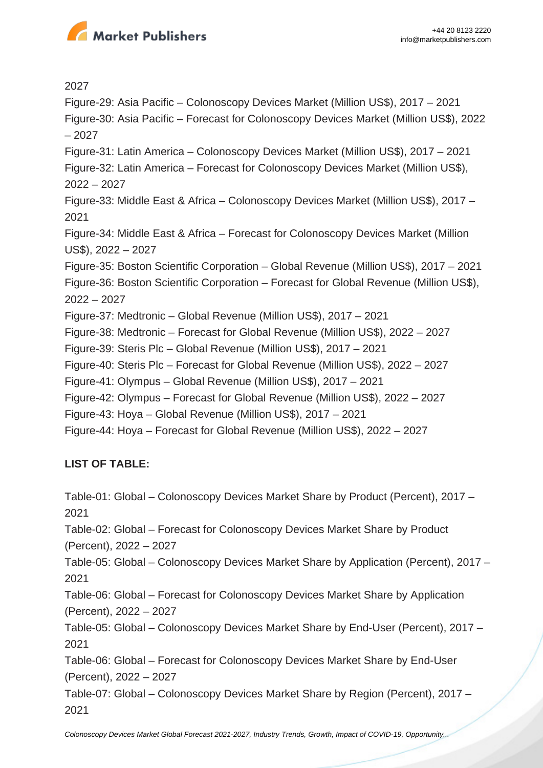

2027

Figure-29: Asia Pacific – Colonoscopy Devices Market (Million US\$), 2017 – 2021 Figure-30: Asia Pacific – Forecast for Colonoscopy Devices Market (Million US\$), 2022 – 2027 Figure-31: Latin America – Colonoscopy Devices Market (Million US\$), 2017 – 2021 Figure-32: Latin America – Forecast for Colonoscopy Devices Market (Million US\$), 2022 – 2027 Figure-33: Middle East & Africa – Colonoscopy Devices Market (Million US\$), 2017 – 2021 Figure-34: Middle East & Africa – Forecast for Colonoscopy Devices Market (Million US\$), 2022 – 2027 Figure-35: Boston Scientific Corporation – Global Revenue (Million US\$), 2017 – 2021 Figure-36: Boston Scientific Corporation – Forecast for Global Revenue (Million US\$), 2022 – 2027 Figure-37: Medtronic – Global Revenue (Million US\$), 2017 – 2021 Figure-38: Medtronic – Forecast for Global Revenue (Million US\$), 2022 – 2027 Figure-39: Steris Plc – Global Revenue (Million US\$), 2017 – 2021 Figure-40: Steris Plc – Forecast for Global Revenue (Million US\$), 2022 – 2027 Figure-41: Olympus – Global Revenue (Million US\$), 2017 – 2021 Figure-42: Olympus – Forecast for Global Revenue (Million US\$), 2022 – 2027 Figure-43: Hoya – Global Revenue (Million US\$), 2017 – 2021 Figure-44: Hoya – Forecast for Global Revenue (Million US\$), 2022 – 2027

## **LIST OF TABLE:**

Table-01: Global – Colonoscopy Devices Market Share by Product (Percent), 2017 – 2021 Table-02: Global – Forecast for Colonoscopy Devices Market Share by Product (Percent), 2022 – 2027 Table-05: Global – Colonoscopy Devices Market Share by Application (Percent), 2017 – 2021 Table-06: Global – Forecast for Colonoscopy Devices Market Share by Application (Percent), 2022 – 2027 Table-05: Global – Colonoscopy Devices Market Share by End-User (Percent), 2017 – 2021 Table-06: Global – Forecast for Colonoscopy Devices Market Share by End-User (Percent), 2022 – 2027

Table-07: Global – Colonoscopy Devices Market Share by Region (Percent), 2017 – 2021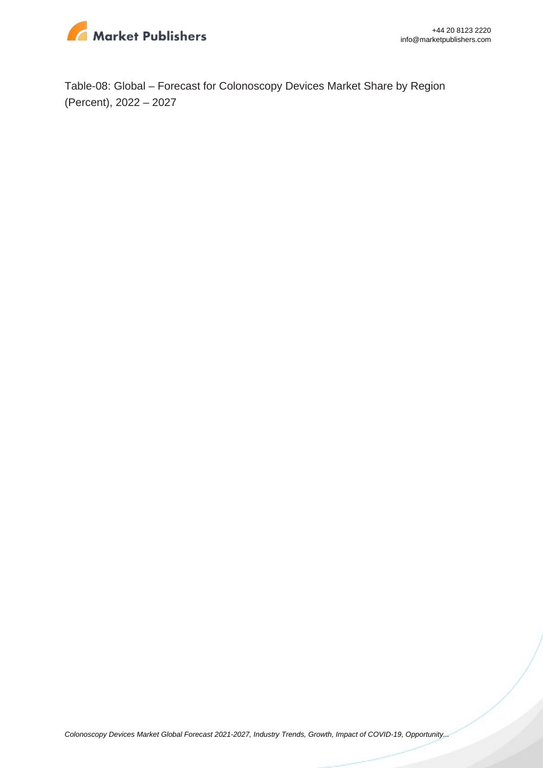

Table-08: Global – Forecast for Colonoscopy Devices Market Share by Region (Percent), 2022 – 2027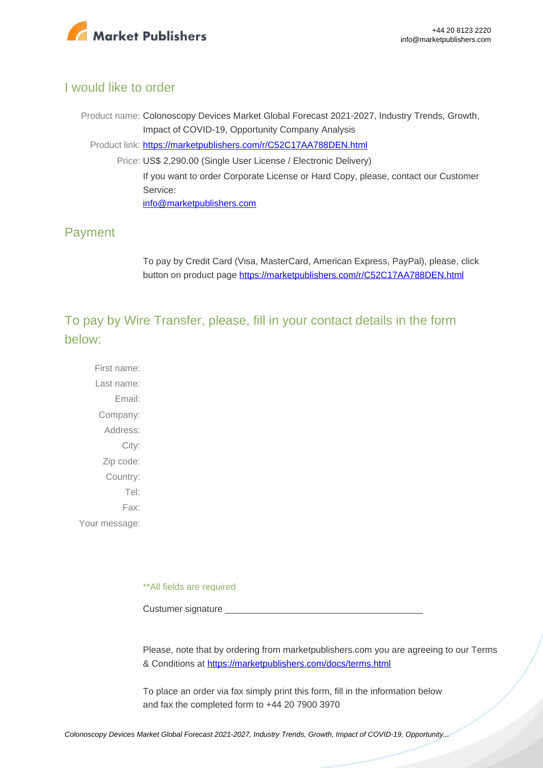

## I would like to order

Product name: Colonoscopy Devices Market Global Forecast 2021-2027, Industry Trends, Growth, Impact of COVID-19, Opportunity Company Analysis Product link: [https://marketpublishers.com/r/C52C17AA788DEN.html](https://marketpublishers.com/report/medical_devices/other_medical_devices/colonoscopy-devices-market-global-forecast-2021-2027-industry-trends-growth-impact-of-covid-19-opportunity-company-analysis.html) Price: US\$ 2,290.00 (Single User License / Electronic Delivery) If you want to order Corporate License or Hard Copy, please, contact our Customer Service: [info@marketpublishers.com](mailto:info@marketpublishers.com)

## Payment

To pay by Credit Card (Visa, MasterCard, American Express, PayPal), please, click button on product page [https://marketpublishers.com/r/C52C17AA788DEN.html](https://marketpublishers.com/report/medical_devices/other_medical_devices/colonoscopy-devices-market-global-forecast-2021-2027-industry-trends-growth-impact-of-covid-19-opportunity-company-analysis.html)

To pay by Wire Transfer, please, fill in your contact details in the form below:

First name: Last name: Email: Company: Address: City: Zip code: Country: Tel: Fax: Your message:

\*\*All fields are required

Custumer signature

Please, note that by ordering from marketpublishers.com you are agreeing to our Terms & Conditions at<https://marketpublishers.com/docs/terms.html>

To place an order via fax simply print this form, fill in the information below and fax the completed form to +44 20 7900 3970